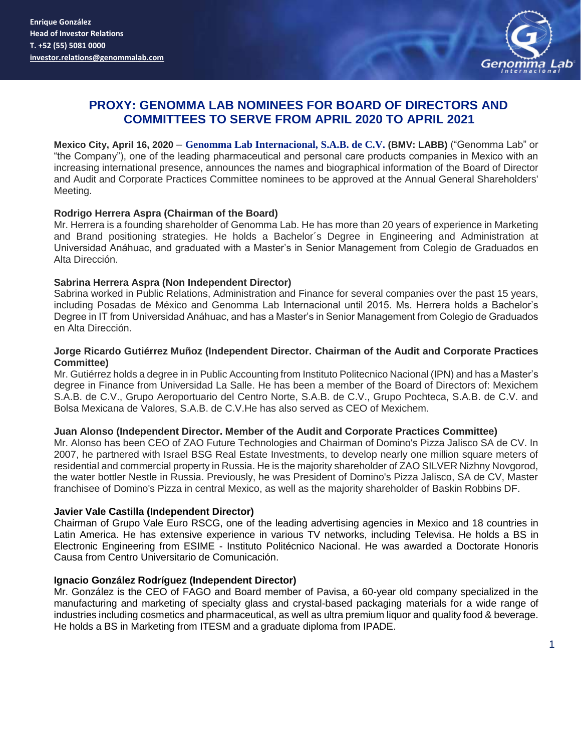

# **PROXY: GENOMMA LAB NOMINEES FOR BOARD OF DIRECTORS AND COMMITTEES TO SERVE FROM APRIL 2020 TO APRIL 2021**

**Mexico City, April 16, 2020** – **Genomma Lab Internacional, S.A.B. de C.V. (BMV: LABB)** ("Genomma Lab" or "the Company"), one of the leading pharmaceutical and personal care products companies in Mexico with an increasing international presence, announces the names and biographical information of the Board of Director and Audit and Corporate Practices Committee nominees to be approved at the Annual General Shareholders' Meeting.

# **Rodrigo Herrera Aspra (Chairman of the Board)**

Mr. Herrera is a founding shareholder of Genomma Lab. He has more than 20 years of experience in Marketing and Brand positioning strategies. He holds a Bachelor´s Degree in Engineering and Administration at Universidad Anáhuac, and graduated with a Master's in Senior Management from Colegio de Graduados en Alta Dirección.

# **Sabrina Herrera Aspra (Non Independent Director)**

Sabrina worked in Public Relations, Administration and Finance for several companies over the past 15 years, including Posadas de México and Genomma Lab Internacional until 2015. Ms. Herrera holds a Bachelor's Degree in IT from Universidad Anáhuac, and has a Master's in Senior Management from Colegio de Graduados en Alta Dirección.

# **Jorge Ricardo Gutiérrez Muñoz (Independent Director. Chairman of the Audit and Corporate Practices Committee)**

Mr. Gutiérrez holds a degree in in Public Accounting from Instituto Politecnico Nacional (IPN) and has a Master's degree in Finance from Universidad La Salle. He has been a member of the Board of Directors of: Mexichem S.A.B. de C.V., Grupo Aeroportuario del Centro Norte, S.A.B. de C.V., Grupo Pochteca, S.A.B. de C.V. and Bolsa Mexicana de Valores, S.A.B. de C.V.He has also served as CEO of Mexichem.

# **Juan Alonso (Independent Director. Member of the Audit and Corporate Practices Committee)**

Mr. Alonso has been CEO of ZAO Future Technologies and Chairman of Domino's Pizza Jalisco SA de CV. In 2007, he partnered with Israel BSG Real Estate Investments, to develop nearly one million square meters of residential and commercial property in Russia. He is the majority shareholder of ZAO SILVER Nizhny Novgorod, the water bottler Nestle in Russia. Previously, he was President of Domino's Pizza Jalisco, SA de CV, Master franchisee of Domino's Pizza in central Mexico, as well as the majority shareholder of Baskin Robbins DF.

# **Javier Vale Castilla (Independent Director)**

Chairman of Grupo Vale Euro RSCG, one of the leading advertising agencies in Mexico and 18 countries in Latin America. He has extensive experience in various TV networks, including Televisa. He holds a BS in Electronic Engineering from ESIME - Instituto Politécnico Nacional. He was awarded a Doctorate Honoris Causa from Centro Universitario de Comunicación.

# **Ignacio González Rodríguez (Independent Director)**

Mr. González is the CEO of FAGO and Board member of Pavisa, a 60-year old company specialized in the manufacturing and marketing of specialty glass and crystal-based packaging materials for a wide range of industries including cosmetics and pharmaceutical, as well as ultra premium liquor and quality food & beverage. He holds a BS in Marketing from ITESM and a graduate diploma from IPADE.